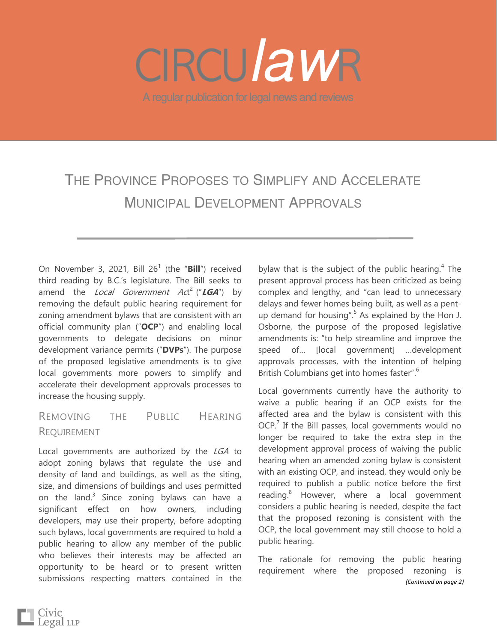# A regular publication for legal news and reviews *law*

# THE PROVINCE PROPOSES TO SIMPLIFY AND ACCELERATE MUNICIPAL DEVELOPMENT APPROVALS

On November 3, 2021, Bill 26<sup>1</sup> (the "Bill") received third reading by B.C.'s legislature. The Bill seeks to amend the *Local Government Ac*t<sup>2</sup> ("**LGA**") by removing the default public hearing requirement for zoning amendment bylaws that are consistent with an official community plan ("**OCP**") and enabling local governments to delegate decisions on minor development variance permits ("**DVPs**"). The purpose of the proposed legislative amendments is to give local governments more powers to simplify and accelerate their development approvals processes to increase the housing supply.

# REMOVING THE PUBLIC HEARING REQUIREMENT

Local governments are authorized by the LGA to adopt zoning bylaws that regulate the use and density of land and buildings, as well as the siting, size, and dimensions of buildings and uses permitted on the land. $3$  Since zoning bylaws can have a significant effect on how owners, including developers, may use their property, before adopting such bylaws, local governments are required to hold a public hearing to allow any member of the public who believes their interests may be affected an opportunity to be heard or to present written submissions respecting matters contained in the

bylaw that is the subject of the public hearing. $4$  The present approval process has been criticized as being complex and lengthy, and "can lead to unnecessary delays and fewer homes being built, as well as a pentup demand for housing".<sup>5</sup> As explained by the Hon J. Osborne, the purpose of the proposed legislative amendments is: "to help streamline and improve the speed of… [local government] …development approvals processes, with the intention of helping British Columbians get into homes faster".<sup>6</sup>

Local governments currently have the authority to waive a public hearing if an OCP exists for the affected area and the bylaw is consistent with this  $OCP<sup>7</sup>$  If the Bill passes, local governments would no longer be required to take the extra step in the development approval process of waiving the public hearing when an amended zoning bylaw is consistent with an existing OCP, and instead, they would only be required to publish a public notice before the first reading.<sup>8</sup> However, where a local government considers a public hearing is needed, despite the fact that the proposed rezoning is consistent with the OCP, the local government may still choose to hold a public hearing.

The rationale for removing the public hearing requirement where the proposed rezoning is *(Continued on page 2)*

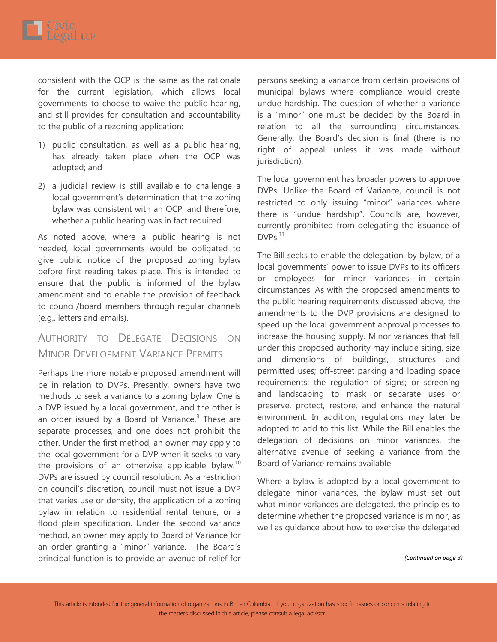consistent with the OCP is the same as the rationale for the current legislation, which allows local governments to choose to waive the public hearing, and still provides for consultation and accountability to the public of a rezoning application:

- 1) public consultation, as well as a public hearing, has already taken place when the OCP was adopted; and
- 2) a judicial review is still available to challenge a local government's determination that the zoning bylaw was consistent with an OCP, and therefore, whether a public hearing was in fact required.

As noted above, where a public hearing is not needed, local governments would be obligated to give public notice of the proposed zoning bylaw before first reading takes place. This is intended to ensure that the public is informed of the bylaw amendment and to enable the provision of feedback to council/board members through regular channels (e.g., letters and emails).

# AUTHORITY TO DELEGATE DECISIONS ON MINOR DEVELOPMENT VARIANCE PERMITS

Perhaps the more notable proposed amendment will be in relation to DVPs. Presently, owners have two methods to seek a variance to a zoning bylaw. One is a DVP issued by a local government, and the other is an order issued by a Board of Variance.<sup>9</sup> These are separate processes, and one does not prohibit the other. Under the first method, an owner may apply to the local government for a DVP when it seeks to vary the provisions of an otherwise applicable bylaw.<sup>10</sup> DVPs are issued by council resolution. As a restriction on council's discretion, council must not issue a DVP that varies use or density, the application of a zoning bylaw in relation to residential rental tenure, or a flood plain specification. Under the second variance method, an owner may apply to Board of Variance for an order granting a "minor" variance. The Board's principal function is to provide an avenue of relief for

persons seeking a variance from certain provisions of municipal bylaws where compliance would create undue hardship. The question of whether a variance is a "minor" one must be decided by the Board in relation to all the surrounding circumstances. Generally, the Board's decision is final (there is no right of appeal unless it was made without jurisdiction).

The local government has broader powers to approve DVPs. Unlike the Board of Variance, council is not restricted to only issuing "minor" variances where there is "undue hardship". Councils are, however, currently prohibited from delegating the issuance of DVPs.<sup>11</sup>

The Bill seeks to enable the delegation, by bylaw, of a local governments' power to issue DVPs to its officers or employees for minor variances in certain circumstances. As with the proposed amendments to the public hearing requirements discussed above, the amendments to the DVP provisions are designed to speed up the local government approval processes to increase the housing supply. Minor variances that fall under this proposed authority may include siting, size and dimensions of buildings, structures and permitted uses; off-street parking and loading space requirements; the regulation of signs; or screening and landscaping to mask or separate uses or preserve, protect, restore, and enhance the natural environment. In addition, regulations may later be adopted to add to this list. While the Bill enables the delegation of decisions on minor variances, the alternative avenue of seeking a variance from the Board of Variance remains available.

Where a bylaw is adopted by a local government to delegate minor variances, the bylaw must set out what minor variances are delegated, the principles to determine whether the proposed variance is minor, as well as guidance about how to exercise the delegated

*(Continued on page 3)*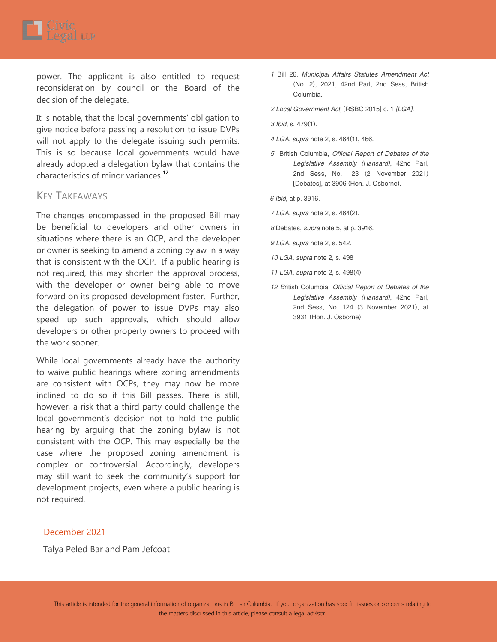power. The applicant is also entitled to request reconsideration by council or the Board of the decision of the delegate.

It is notable, that the local governments' obligation to give notice before passing a resolution to issue DVPs will not apply to the delegate issuing such permits. This is so because local governments would have already adopted a delegation bylaw that contains the characteristics of minor variances.<sup>12</sup>

## KEY TAKEAWAYS

The changes encompassed in the proposed Bill may be beneficial to developers and other owners in situations where there is an OCP, and the developer or owner is seeking to amend a zoning bylaw in a way that is consistent with the OCP. If a public hearing is not required, this may shorten the approval process, with the developer or owner being able to move forward on its proposed development faster. Further, the delegation of power to issue DVPs may also speed up such approvals, which should allow developers or other property owners to proceed with the work sooner.

While local governments already have the authority to waive public hearings where zoning amendments are consistent with OCPs, they may now be more inclined to do so if this Bill passes. There is still, however, a risk that a third party could challenge the local government's decision not to hold the public hearing by arguing that the zoning bylaw is not consistent with the OCP. This may especially be the case where the proposed zoning amendment is complex or controversial. Accordingly, developers may still want to seek the community's support for development projects, even where a public hearing is not required.

### December 2021

Talya Peled Bar and Pam Jefcoat

- *1* Bill 26, *Municipal Affairs Statutes Amendment Act*  (No. 2), 2021, 42nd Parl, 2nd Sess, British Columbia.
- *2 Local Government Act,* [RSBC 2015] c. 1 *[LGA].*

*3 Ibid*, s. 479(1).

- *4 LGA, supra* note 2, s. 464(1), 466.
- *5* British Columbia, *Official Report of Debates of the Legislative Assembly (Hansard)*, 42nd Parl, 2nd Sess, No. 123 (2 November 2021) [Debates], at 3906 (Hon. J. Osborne).

*6 Ibid*, at p. 3916.

- *7 LGA, supra* note 2, s. 464(2).
- *8* Debates, *supra* note 5, at p. 3916.
- *9 LGA, supra* note 2, s. 542.
- *10 LGA, supra* note 2, s. 498
- *11 LGA, supra* note 2, s. 498(4).
- *12 B*ritish Columbia, *Official Report of Debates of the Legislative Assembly (Hansard)*, 42nd Parl, 2nd Sess, No. 124 (3 November 2021), at 3931 (Hon. J. Osborne).